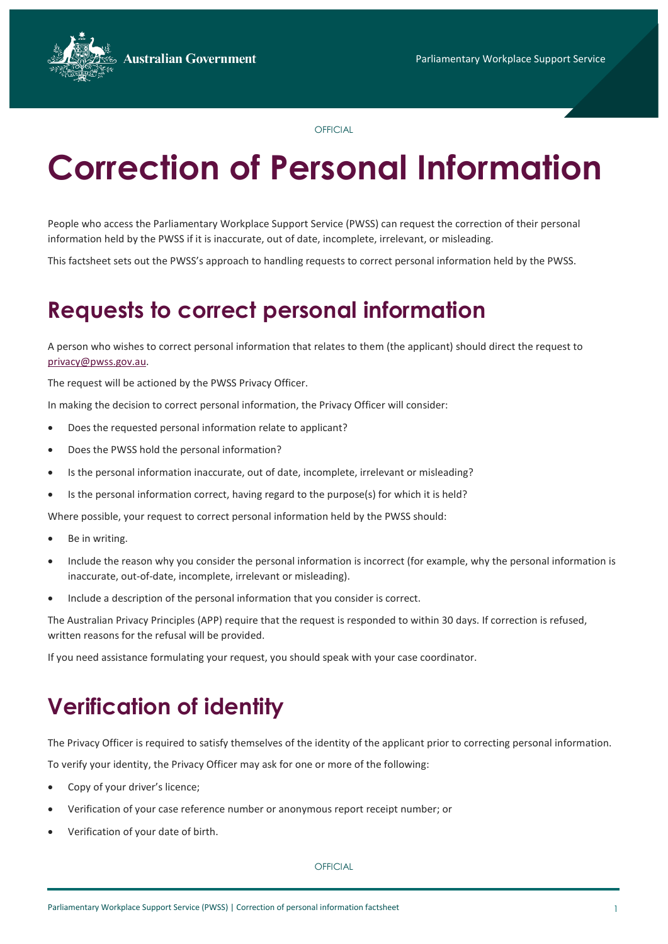**Australian Government** 



**OFFICIAL** 

# **Correction of Personal Information**

People who access the Parliamentary Workplace Support Service (PWSS) can request the correction of their personal information held by the PWSS if it is inaccurate, out of date, incomplete, irrelevant, or misleading.

This factsheet sets out the PWSS's approach to handling requests to correct personal information held by the PWSS.

# **Requests to correct personal information**

A person who wishes to correct personal information that relates to them (the applicant) should direct the request to [privacy@pwss.gov.au.](mailto:privacy@pwss.gov.au) 

The request will be actioned by the PWSS Privacy Officer.

In making the decision to correct personal information, the Privacy Officer will consider:

- Does the requested personal information relate to applicant?
- Does the PWSS hold the personal information?
- Is the personal information inaccurate, out of date, incomplete, irrelevant or misleading?
- Is the personal information correct, having regard to the purpose(s) for which it is held?

Where possible, your request to correct personal information held by the PWSS should:

- Be in writing.
- Include the reason why you consider the personal information is incorrect (for example, why the personal information is inaccurate, out-of-date, incomplete, irrelevant or misleading).
- Include a description of the personal information that you consider is correct.

The Australian Privacy Principles (APP) require that the request is responded to within 30 days. If correction is refused, written reasons for the refusal will be provided.

If you need assistance formulating your request, you should speak with your case coordinator.

# **Verification of identity**

The Privacy Officer is required to satisfy themselves of the identity of the applicant prior to correcting personal information.

To verify your identity, the Privacy Officer may ask for one or more of the following:

- Copy of your driver's licence;
- Verification of your case reference number or anonymous report receipt number; or
- Verification of your date of birth.

**OFFICIAL**